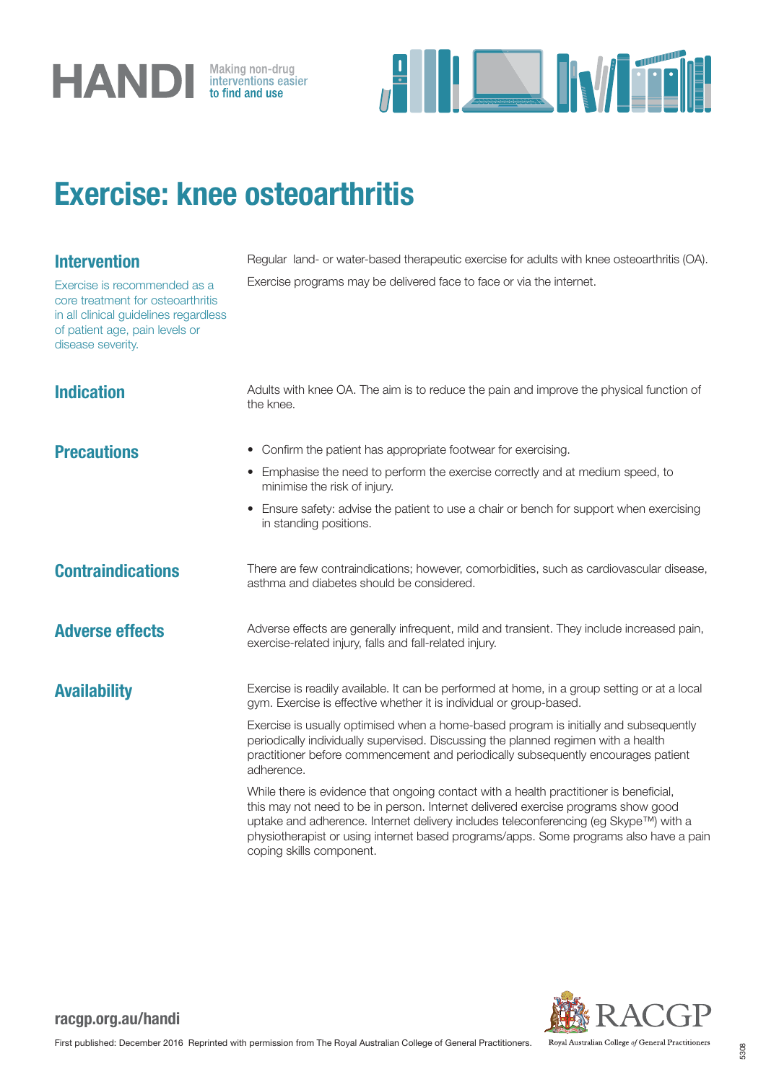



## Exercise: knee osteoarthritis

### Intervention

Exercise is recommended as a core treatment for osteoarthritis in all clinical guidelines regardless of patient age, pain levels or disease severity.

Regular land- or water-based therapeutic exercise for adults with knee osteoarthritis (OA). Exercise programs may be delivered face to face or via the internet.

physiotherapist or using internet based programs/apps. Some programs also have a pain

### **Indication** Adults with knee OA. The aim is to reduce the pain and improve the physical function of the knee. **Precautions** • Confirm the patient has appropriate footwear for exercising. • Emphasise the need to perform the exercise correctly and at medium speed, to minimise the risk of injury. • Ensure safety: advise the patient to use a chair or bench for support when exercising in standing positions. Contraindications There are few contraindications; however, comorbidities, such as cardiovascular disease, asthma and diabetes should be considered. Adverse effects Adverse effects are generally infrequent, mild and transient. They include increased pain, exercise-related injury, falls and fall-related injury. Availability Exercise is readily available. It can be performed at home, in a group setting or at a local gym. Exercise is effective whether it is individual or group-based. Exercise is usually optimised when a home-based program is initially and subsequently periodically individually supervised. Discussing the planned regimen with a health practitioner before commencement and periodically subsequently encourages patient adherence. While there is evidence that ongoing contact with a health practitioner is beneficial, this may not need to be in person. Internet delivered exercise programs show good uptake and adherence. Internet delivery includes teleconferencing (eg Skype™) with a

Royal Australian College of General Practitioners

### racgp.org.au/handi

coping skills component.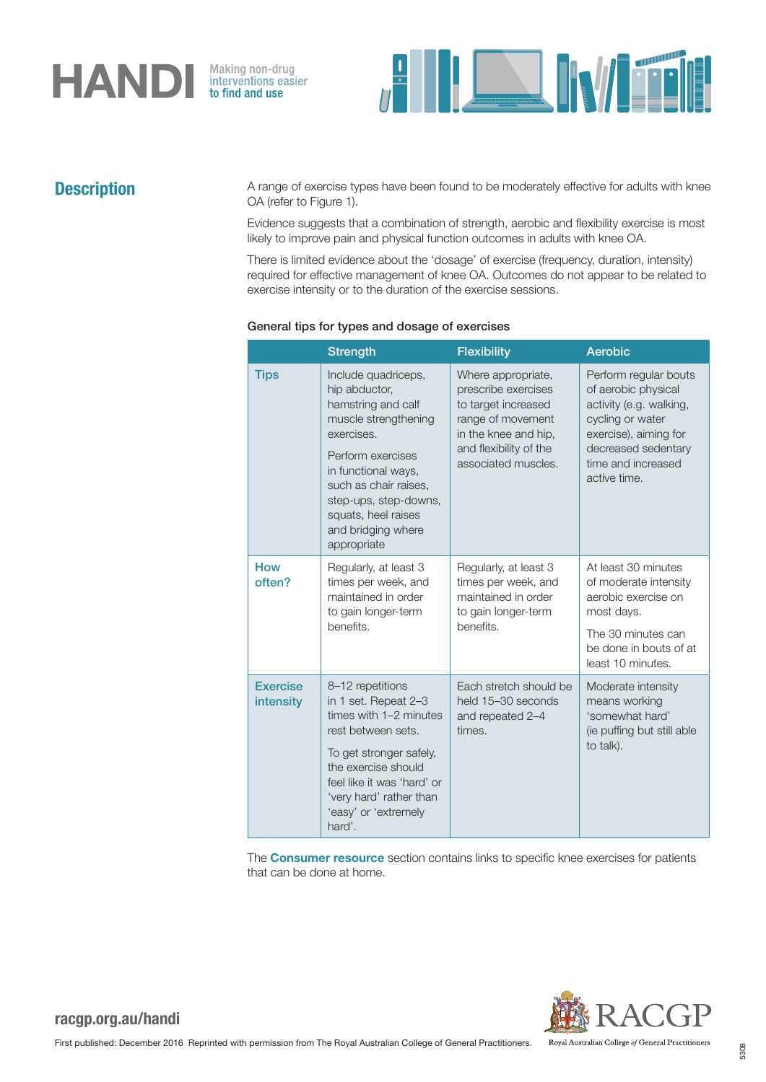

Making non-drug<br>interventions easier<br>**to find and use** 



**Description** A range of exercise types have been found to be moderately effective for adults with knee OA (refer to Figure 1).

> Evidence suggests that a combination of strength, aerobic and flexibility exercise is most likely to improve pain and physical function outcomes in adults with knee OA.

> There is limited evidence about the 'dosage' of exercise (frequency, duration, intensity) required for effective management of knee OA. Outcomes do not appear to be related to exercise intensity or to the duration of the exercise sessions.

|                              | <b>Strength</b>                                                                                                                                                                                                                                            | <b>Flexibility</b>                                                                                                                                             | Aerobic                                                                                                                                                                           |
|------------------------------|------------------------------------------------------------------------------------------------------------------------------------------------------------------------------------------------------------------------------------------------------------|----------------------------------------------------------------------------------------------------------------------------------------------------------------|-----------------------------------------------------------------------------------------------------------------------------------------------------------------------------------|
| <b>Tips</b>                  | Include quadriceps,<br>hip abductor,<br>hamstring and calf<br>muscle strengthening<br>exercises.<br>Perform exercises<br>in functional ways,<br>such as chair raises,<br>step-ups, step-downs,<br>squats, heel raises<br>and bridging where<br>appropriate | Where appropriate,<br>prescribe exercises<br>to target increased<br>range of movement<br>in the knee and hip,<br>and flexibility of the<br>associated muscles. | Perform regular bouts<br>of aerobic physical<br>activity (e.g. walking,<br>cycling or water<br>exercise), aiming for<br>decreased sedentary<br>time and increased<br>active time. |
| <b>How</b><br>often?         | Regularly, at least 3<br>times per week, and<br>maintained in order<br>to gain longer-term<br>benefits.                                                                                                                                                    | Regularly, at least 3<br>times per week, and<br>maintained in order<br>to gain longer-term<br>benefits.                                                        | At least 30 minutes<br>of moderate intensity<br>aerobic exercise on<br>most days.<br>The 30 minutes can<br>be done in bouts of at<br>least 10 minutes.                            |
| <b>Exercise</b><br>intensity | 8-12 repetitions<br>in 1 set. Repeat 2-3<br>times with 1-2 minutes<br>rest between sets.<br>To get stronger safely,<br>the exercise should<br>feel like it was 'hard' or<br>'very hard' rather than<br>'easy' or 'extremely<br>hard'.                      | Each stretch should be<br>held 15-30 seconds<br>and repeated 2-4<br>times.                                                                                     | Moderate intensity<br>means working<br>'somewhat hard'<br>(ie puffing but still able<br>to talk).                                                                                 |

### General tips for types and dosage of exercises

The Consumer resource section contains links to specific knee exercises for patients that can be done at home.

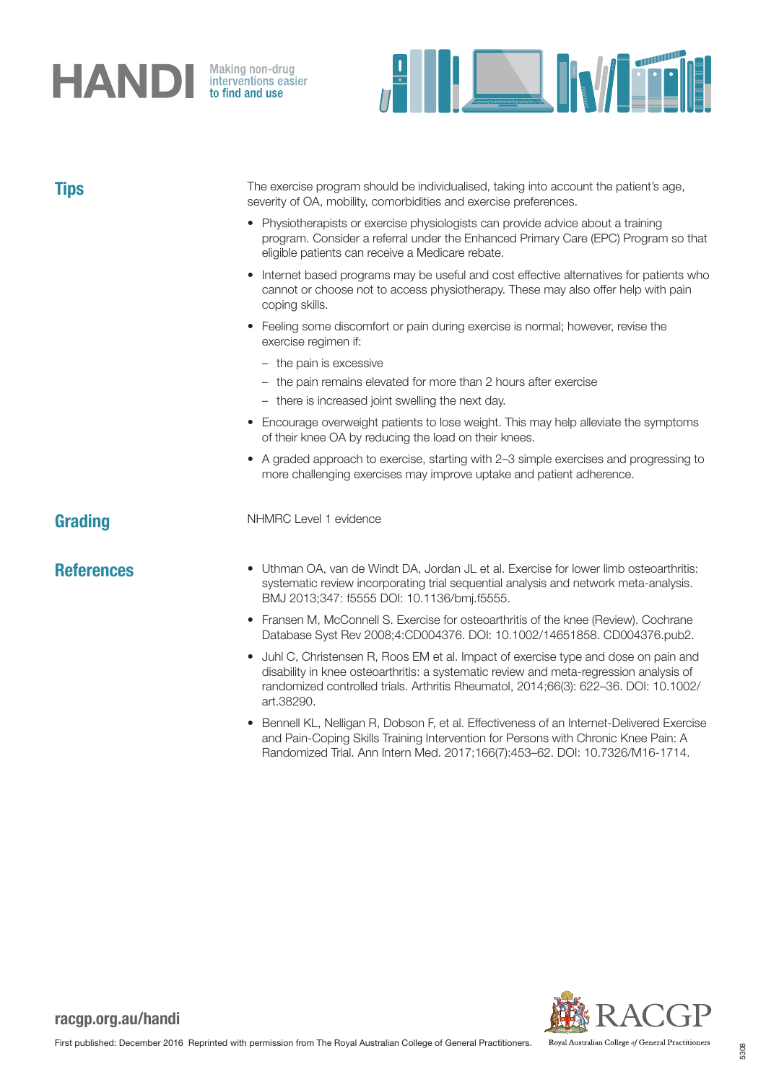# **HANDI** Making non-drug

**FILLENWEEK** 

| <b>Tips</b>       | The exercise program should be individualised, taking into account the patient's age,<br>severity of OA, mobility, comorbidities and exercise preferences.                                                                                                                                      |  |  |  |  |
|-------------------|-------------------------------------------------------------------------------------------------------------------------------------------------------------------------------------------------------------------------------------------------------------------------------------------------|--|--|--|--|
|                   | • Physiotherapists or exercise physiologists can provide advice about a training<br>program. Consider a referral under the Enhanced Primary Care (EPC) Program so that<br>eligible patients can receive a Medicare rebate.                                                                      |  |  |  |  |
|                   | Internet based programs may be useful and cost effective alternatives for patients who<br>$\bullet$<br>cannot or choose not to access physiotherapy. These may also offer help with pain<br>coping skills.                                                                                      |  |  |  |  |
|                   | • Feeling some discomfort or pain during exercise is normal; however, revise the<br>exercise regimen if:                                                                                                                                                                                        |  |  |  |  |
|                   | - the pain is excessive                                                                                                                                                                                                                                                                         |  |  |  |  |
|                   | - the pain remains elevated for more than 2 hours after exercise                                                                                                                                                                                                                                |  |  |  |  |
|                   | - there is increased joint swelling the next day.                                                                                                                                                                                                                                               |  |  |  |  |
|                   | Encourage overweight patients to lose weight. This may help alleviate the symptoms<br>of their knee OA by reducing the load on their knees.                                                                                                                                                     |  |  |  |  |
|                   | A graded approach to exercise, starting with 2-3 simple exercises and progressing to<br>more challenging exercises may improve uptake and patient adherence.                                                                                                                                    |  |  |  |  |
| Grading           | NHMRC Level 1 evidence                                                                                                                                                                                                                                                                          |  |  |  |  |
| <b>References</b> | Uthman OA, van de Windt DA, Jordan JL et al. Exercise for lower limb osteoarthritis:<br>$\bullet$<br>systematic review incorporating trial sequential analysis and network meta-analysis.<br>BMJ 2013;347: f5555 DOI: 10.1136/bmj.f5555.                                                        |  |  |  |  |
|                   | • Fransen M, McConnell S. Exercise for osteoarthritis of the knee (Review). Cochrane<br>Database Syst Rev 2008;4:CD004376. DOI: 10.1002/14651858. CD004376.pub2.                                                                                                                                |  |  |  |  |
|                   | Juhl C, Christensen R, Roos EM et al. Impact of exercise type and dose on pain and<br>$\bullet$<br>disability in knee osteoarthritis: a systematic review and meta-regression analysis of<br>randomized controlled trials. Arthritis Rheumatol, 2014;66(3): 622-36. DOI: 10.1002/<br>art.38290. |  |  |  |  |

• Bennell KL, Nelligan R, Dobson F, et al. Effectiveness of an Internet-Delivered Exercise and Pain-Coping Skills Training Intervention for Persons with Chronic Knee Pain: A Randomized Trial. Ann Intern Med. 2017;166(7):453–62. DOI: 10.7326/M16-1714.

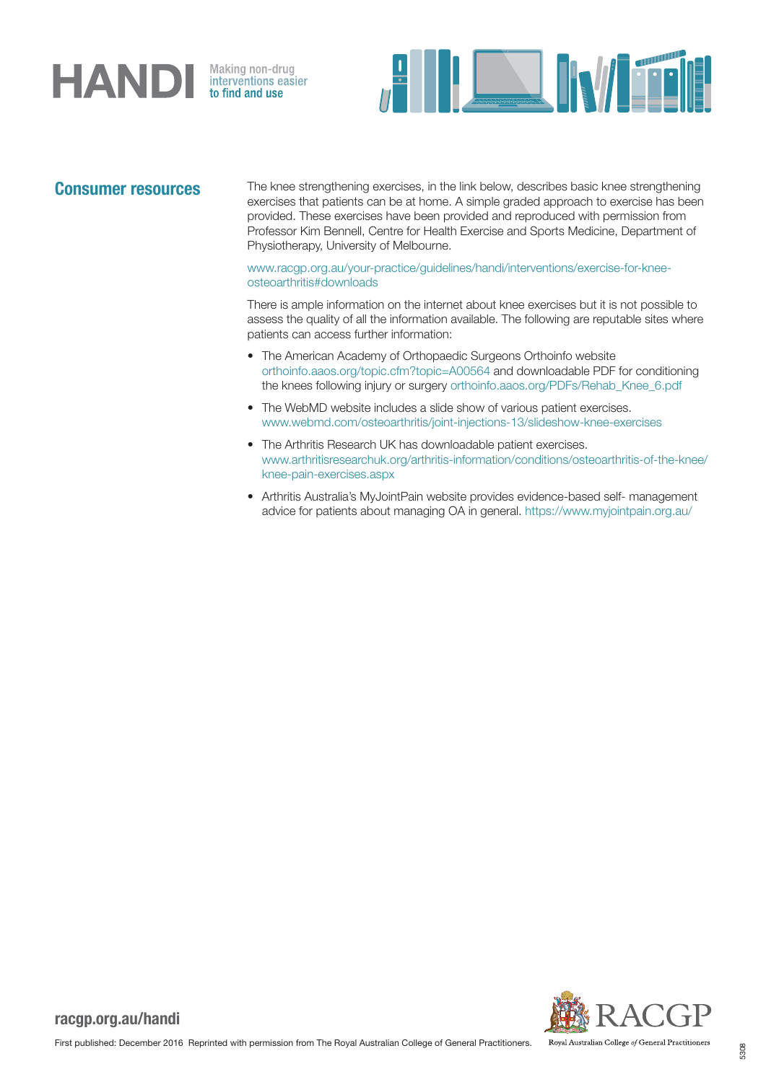# HANDI

Making non-drug<br>interventions easier<br>**to find and use** 



Consumer resources The knee strengthening exercises, in the link below, describes basic knee strengthening exercises that patients can be at home. A simple graded approach to exercise has been provided. These exercises have been provided and reproduced with permission from Professor Kim Bennell, Centre for Health Exercise and Sports Medicine, Department of Physiotherapy, University of Melbourne.

> [www.racgp.org.au/your-practice/guidelines/handi/interventions/exercise-for-knee](http://www.racgp.org.au/your-practice/guidelines/handi/interventions/exercise-for-knee-osteoarthritis#downloads)[osteoarthritis#downloads](http://www.racgp.org.au/your-practice/guidelines/handi/interventions/exercise-for-knee-osteoarthritis#downloads)

There is ample information on the internet about knee exercises but it is not possible to assess the quality of all the information available. The following are reputable sites where patients can access further information:

- The American Academy of Orthopaedic Surgeons Orthoinfo website [orthoinfo.aaos.org/topic.cfm?topic=A00564](http://orthoinfo.aaos.org/topic.cfm?topic=A00564) and downloadable PDF for conditioning the knees following injury or surgery [orthoinfo.aaos.org/PDFs/Rehab\\_Knee\\_6.pdf](http://orthoinfo.aaos.org/PDFs/Rehab_Knee_6.pdf)
- The WebMD website includes a slide show of various patient exercises. [www.webmd.com/osteoarthritis/joint-injections-13/slideshow-knee-exercises](http://www.webmd.com/osteoarthritis/joint-injections-13/slideshow-knee-exercises)
- The Arthritis Research UK has downloadable patient exercises. [www.arthritisresearchuk.org/arthritis-information/conditions/osteoarthritis-of-the-knee/](http://www.arthritisresearchuk.org/arthritis-information/conditions/osteoarthritis-of-the-knee/knee-pain-exercises.aspx) [knee-pain-exercises.aspx](http://www.arthritisresearchuk.org/arthritis-information/conditions/osteoarthritis-of-the-knee/knee-pain-exercises.aspx)
- Arthritis Australia's MyJointPain website provides evidence-based self- management advice for patients about managing OA in general.<https://www.myjointpain.org.au/>



Royal Australian College of General Practitioners